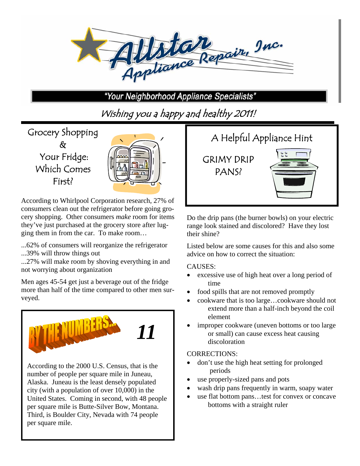

"Your Neighborhood Appliance Specialists"

Wishing you a happy and healthy 2011!

Grocery Shopping & Your Fridge: Which Comes First?

| $\overline{a}$ |  |
|----------------|--|
|                |  |

According to Whirlpool Corporation research, 27% of consumers clean out the refrigerator before going grocery shopping. Other consumers *make* room for items they've just purchased at the grocery store after lugging them in from the car. To make room…

...62% of consumers will reorganize the refrigerator ...39% will throw things out

...27% will make room by shoving everything in and not worrying about organization

Men ages 45-54 get just a beverage out of the fridge more than half of the time compared to other men surveyed.



According to the 2000 U.S. Census, that is the number of people per square mile in Juneau, Alaska. Juneau is the least densely populated city (with a population of over 10,000) in the United States. Coming in second, with 48 people per square mile is Butte-Silver Bow, Montana. Third, is Boulder City, Nevada with 74 people per square mile.



Do the drip pans (the burner bowls) on your electric range look stained and discolored? Have they lost their shine?

Listed below are some causes for this and also some advice on how to correct the situation:

### CAUSES:

- excessive use of high heat over a long period of time
- food spills that are not removed promptly
- cookware that is too large…cookware should not extend more than a half-inch beyond the coil element
- improper cookware (uneven bottoms or too large or small) can cause excess heat causing discoloration

### CORRECTIONS:

- don't use the high heat setting for prolonged periods
- use properly-sized pans and pots
- wash drip pans frequently in warm, soapy water
- use flat bottom pans…test for convex or concave bottoms with a straight ruler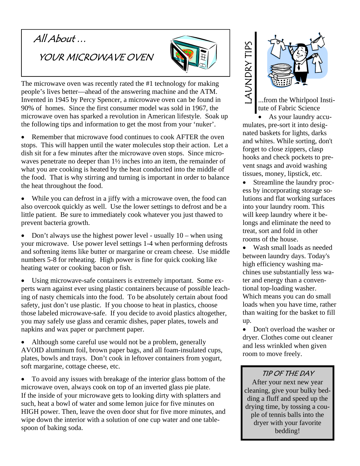# All About …

YOUR MICROWAVE OVEN



The microwave oven was recently rated the #1 technology for making people's lives better—ahead of the answering machine and the ATM. Invented in 1945 by Percy Spencer, a microwave oven can be found in 90% of homes. Since the first consumer model was sold in 1967, the microwave oven has sparked a revolution in American lifestyle. Soak up the following tips and information to get the most from your 'nuker'.

• Remember that microwave food continues to cook AFTER the oven stops. This will happen until the water molecules stop their action. Let a dish sit for a few minutes after the microwave oven stops. Since microwaves penetrate no deeper than 1½ inches into an item, the remainder of what you are cooking is heated by the heat conducted into the middle of the food. That is why stirring and turning is important in order to balance the heat throughout the food.

 While you can defrost in a jiffy with a microwave oven, the food can also overcook quickly as well. Use the lower settings to defrost and be a little patient. Be sure to immediately cook whatever you just thawed to prevent bacteria growth.

Don't always use the highest power level - usually  $10$  – when using your microwave. Use power level settings 1-4 when performing defrosts and softening items like butter or margarine or cream cheese. Use middle numbers 5-8 for reheating. High power is fine for quick cooking like heating water or cooking bacon or fish.

 Using microwave-safe containers is extremely important. Some experts warn against ever using plastic containers because of possible leaching of nasty chemicals into the food. To be absolutely certain about food safety, just don't use plastic. If you choose to heat in plastics, choose those labeled microwave-safe. If you decide to avoid plastics altogether, you may safely use glass and ceramic dishes, paper plates, towels and napkins and wax paper or parchment paper.

• Although some careful use would not be a problem, generally AVOID aluminum foil, brown paper bags, and all foam-insulated cups, plates, bowls and trays. Don't cook in leftover containers from yogurt, soft margarine, cottage cheese, etc.

 To avoid any issues with breakage of the interior glass bottom of the microwave oven, always cook on top of an inverted glass pie plate. If the inside of your microwave gets to looking dirty with splatters and such, heat a bowl of water and some lemon juice for five minutes on HIGH power. Then, leave the oven door shut for five more minutes, and wipe down the interior with a solution of one cup water and one tablespoon of baking soda.

# AUNDRY TIPS



...from the Whirlpool Institute of Fabric Science

 As your laundry accumulates, pre-sort it into designated baskets for lights, darks and whites. While sorting, don't forget to close zippers, clasp hooks and check pockets to prevent snags and avoid washing tissues, money, lipstick, etc.

 Streamline the laundry process by incorporating storage solutions and flat working surfaces into your laundry room. This will keep laundry where it belongs and eliminate the need to treat, sort and fold in other rooms of the house.

 Wash small loads as needed between laundry days. Today's high efficiency washing machines use substantially less water and energy than a conventional top-loading washer. Which means you can do small loads when you have time, rather than waiting for the basket to fill up. **EXAMPLE AND SEVERE AND SEVERE AN INCREDITED AND INTERNATIONAL TRIMATION INTO A As your laure mulates, pre-sort it interacted baskets for light and whites. While sor forget to close zippers hooks and check pock went snags** 

• Don't overload the washer or dryer. Clothes come out cleaner and less wrinkled when given room to move freely.

## TIP OF THE DAY

After your next new year cleaning, give your bulky bedding a fluff and speed up the drying time, by tossing a couple of tennis balls into the dryer with your favorite bedding!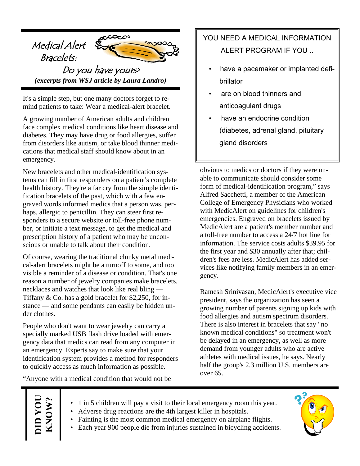

It's a simple step, but one many doctors forget to remind patients to take: Wear a medical-alert bracelet.

A growing number of American adults and children face complex medical conditions like heart disease and diabetes. They may have drug or food allergies, suffer from disorders like autism, or take blood thinner medications that medical staff should know about in an emergency.

New bracelets and other medical-identification systems can fill in first responders on a patient's complete health history. They're a far cry from the simple identification bracelets of the past, which with a few engraved words informed medics that a person was, perhaps, allergic to penicillin. They can steer first responders to a secure website or toll-free phone number, or initiate a text message, to get the medical and prescription history of a patient who may be unconscious or unable to talk about their condition.

Of course, wearing the traditional clunky metal medical-alert bracelets might be a turnoff to some, and too visible a reminder of a disease or condition. That's one reason a number of jewelry companies make bracelets, necklaces and watches that look like real bling — Tiffany & Co. has a gold bracelet for \$2,250, for instance — and some pendants can easily be hidden under clothes.

People who don't want to wear jewelry can carry a specially marked USB flash drive loaded with emergency data that medics can read from any computer in an emergency. Experts say to make sure that your identification system provides a method for responders to quickly access as much information as possible.

"Anyone with a medical condition that would not be

## YOU NEED A MEDICAL INFORMATION ALERT PROGRAM IF YOU ..

- have a pacemaker or implanted defibrillator
- are on blood thinners and anticoagulant drugs
- have an endocrine condition (diabetes, adrenal gland, pituitary gland disorders

obvious to medics or doctors if they were unable to communicate should consider some form of medical-identification program," says Alfred Sacchetti, a member of the American College of Emergency Physicians who worked with MedicAlert on guidelines for children's emergencies. Engraved on bracelets issued by MedicAlert are a patient's member number and a toll-free number to access a 24/7 hot line for information. The service costs adults \$39.95 for the first year and \$30 annually after that; children's fees are less. MedicAlert has added services like notifying family members in an emergency.

Ramesh Srinivasan, MedicAlert's executive vice president, says the organization has seen a growing number of parents signing up kids with food allergies and autism spectrum disorders. There is also interest in bracelets that say "no known medical conditions" so treatment won't be delayed in an emergency, as well as more demand from younger adults who are active athletes with medical issues, he says. Nearly half the group's 2.3 million U.S. members are over 65.

**DID YOU KNOW? DID YOU**<br>KNOW?

- 1 in 5 children will pay a visit to their local emergency room this year.
- Adverse drug reactions are the 4th largest killer in hospitals.
- Fainting is the most common medical emergency on airplane flights.
- Each year 900 people die from injuries sustained in bicycling accidents.